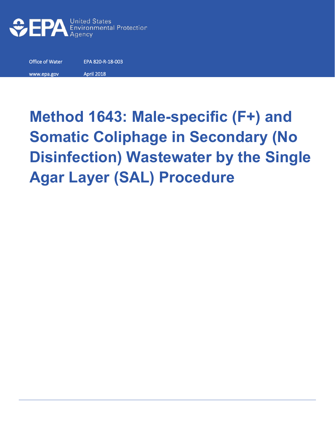<span id="page-0-0"></span>

Office of Water EPA 820-R-18-003 www.epa.gov April 2018

# **Method 1643: Male-specific (F+) and Somatic Coliphage in Secondary (No Disinfection) Wastewater by the Single Agar Layer (SAL) Procedure**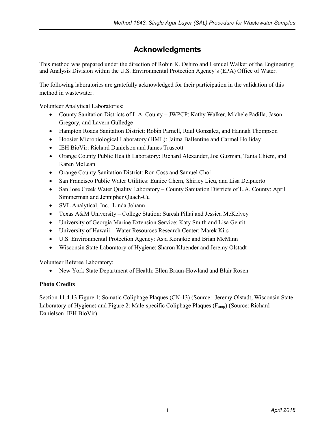# **Acknowledgments**

This method was prepared under the direction of Robin K. Oshiro and Lemuel Walker of the Engineering and Analysis Division within the U.S. Environmental Protection Agency's (EPA) Office of Water.

The following laboratories are gratefully acknowledged for their participation in the validation of this method in wastewater:

Volunteer Analytical Laboratories:

- County Sanitation Districts of L.A. County JWPCP: Kathy Walker, Michele Padilla, Jason Gregory, and Lavern Gulledge
- Hampton Roads Sanitation District: Robin Parnell, Raul Gonzalez, and Hannah Thompson
- Hoosier Microbiological Laboratory (HML): Jaima Ballentine and Carmel Holliday
- IEH BioVir: Richard Danielson and James Truscott
- Orange County Public Health Laboratory: Richard Alexander, Joe Guzman, Tania Chiem, and Karen McLean
- Orange County Sanitation District: Ron Coss and Samuel Choi
- San Francisco Public Water Utilities: Eunice Chern, Shirley Lieu, and Lisa Delpuerto
- San Jose Creek Water Quality Laboratory County Sanitation Districts of L.A. County: April Simmerman and Jennipher Quach-Cu
- SVL Analytical, Inc.: Linda Johann
- Texas A&M University College Station: Suresh Pillai and Jessica McKelvey
- University of Georgia Marine Extension Service: Katy Smith and Lisa Gentit
- University of Hawaii Water Resources Research Center: Marek Kirs
- U.S. Environmental Protection Agency: Asja Korajkic and Brian McMinn
- Wisconsin State Laboratory of Hygiene: Sharon Kluender and Jeremy Olstadt

Volunteer Referee Laboratory:

• New York State Department of Health: Ellen Braun-Howland and Blair Rosen

### **Photo Credits**

Section 11.4.13 Figure 1: Somatic Coliphage Plaques (CN-13) (Source: Jeremy Olstadt, Wisconsin State Laboratory of Hygiene) and Figure 2: Male-specific Coliphage Plaques (Famp) (Source: Richard Danielson, IEH BioVir)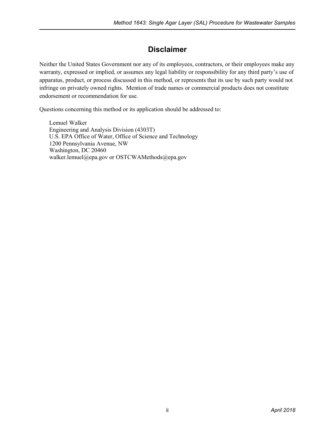# **Disclaimer**

<span id="page-2-0"></span>Neither the United States Government nor any of its employees, contractors, or their employees make any warranty, expressed or implied, or assumes any legal liability or responsibility for any third party's use of apparatus, product, or process discussed in this method, or represents that its use by such party would not infringe on privately owned rights. Mention of trade names or commercial products does not constitute endorsement or recommendation for use.

Questions concerning this method or its application should be addressed to:

Lemuel Walker Engineering and Analysis Division (4303T) U.S. EPA Office of Water, Office of Science and Technology 1200 Pennsylvania Avenue, NW Washington, DC 20460 walker.lemuel@epa.gov or OSTCWAMethods@epa.gov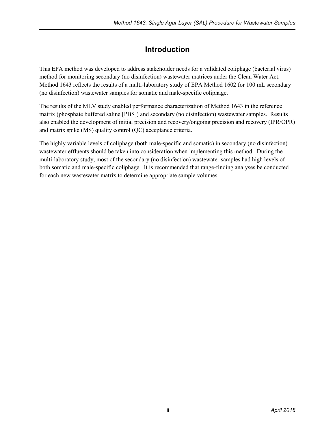# **Introduction**

<span id="page-3-0"></span>This EPA method was developed to address stakeholder needs for a validated coliphage (bacterial virus) method for monitoring secondary (no disinfection) wastewater matrices under the Clean Water Act. Method 1643 reflects the results of a multi-laboratory study of EPA Method 1602 for 100 mL secondary (no disinfection) wastewater samples for somatic and male-specific coliphage.

The results of the MLV study enabled performance characterization of Method 1643 in the reference matrix (phosphate buffered saline [PBS]) and secondary (no disinfection) wastewater samples. Results also enabled the development of initial precision and recovery/ongoing precision and recovery (IPR/OPR) and matrix spike (MS) quality control (QC) acceptance criteria.

The highly variable levels of coliphage (both male-specific and somatic) in secondary (no disinfection) wastewater effluents should be taken into consideration when implementing this method. During the multi-laboratory study, most of the secondary (no disinfection) wastewater samples had high levels of both somatic and male-specific coliphage. It is recommended that range-finding analyses be conducted for each new wastewater matrix to determine appropriate sample volumes.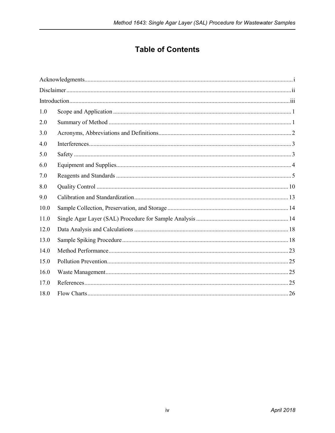# **Table of Contents**

| 1.0  |  |
|------|--|
| 20   |  |
| 3.0  |  |
| 4.0  |  |
| 5.0  |  |
| 6.0  |  |
| 7.0  |  |
| 8.0  |  |
| 9.0  |  |
| 10.0 |  |
| 11.0 |  |
| 12.0 |  |
| 13.0 |  |
| 14.0 |  |
| 15.0 |  |
| 16.0 |  |
| 17.0 |  |
| 18.0 |  |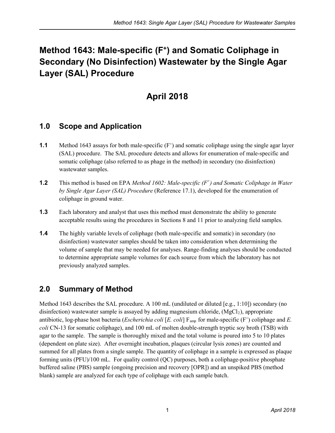# **Method 1643: Male-specific (F+) and Somatic Coliphage in Secondary (No Disinfection) Wastewater by the Single Agar Layer (SAL) Procedure**

# **April 2018**

# <span id="page-5-0"></span>**1.0 Scope and Application**

- **1.1** Method 1643 assays for both male-specific  $(F^+)$  and somatic coliphage using the single agar layer (SAL) procedure. The SAL procedure detects and allows for enumeration of male-specific and somatic coliphage (also referred to as phage in the method) in secondary (no disinfection) wastewater samples.
- **1.2** This method is based on EPA *Method 1602: Male-specific (F+) and Somatic Coliphage in Water by Single Agar Layer (SAL) Procedure* (Reference 17.1), developed for the enumeration of coliphage in ground water.
- **1.3** Each laboratory and analyst that uses this method must demonstrate the ability to generate acceptable results using the procedures in Sections 8 and 11 prior to analyzing field samples.
- **1.4** The highly variable levels of coliphage (both male-specific and somatic) in secondary (no disinfection) wastewater samples should be taken into consideration when determining the volume of sample that may be needed for analyses. Range-finding analyses should be conducted to determine appropriate sample volumes for each source from which the laboratory has not previously analyzed samples.

# <span id="page-5-1"></span>**2.0 Summary of Method**

Method 1643 describes the SAL procedure. A 100 mL (undiluted or diluted [e.g., 1:10]) secondary (no disinfection) wastewater sample is assayed by adding magnesium chloride, (MgCl<sub>2</sub>), appropriate antibiotic, log-phase host bacteria (*Escherichia coli* [*E. coli*]  $F_{\text{amp}}$  for male-specific ( $F^+$ ) coliphage and *E. coli* CN-13 for somatic coliphage), and 100 mL of molten double-strength tryptic soy broth (TSB) with agar to the sample. The sample is thoroughly mixed and the total volume is poured into 5 to 10 plates (dependent on plate size). After overnight incubation, plaques (circular lysis zones) are counted and summed for all plates from a single sample. The quantity of coliphage in a sample is expressed as plaque forming units (PFU)/100 mL. For quality control (QC) purposes, both a coliphage-positive phosphate buffered saline (PBS) sample (ongoing precision and recovery [OPR]) and an unspiked PBS (method blank) sample are analyzed for each type of coliphage with each sample batch.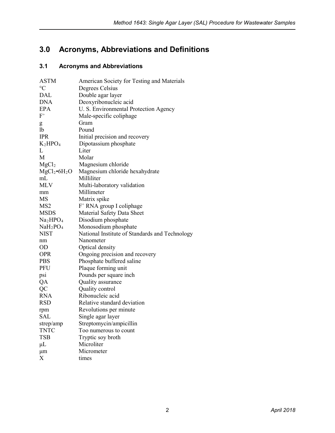# <span id="page-6-0"></span>**3.0 Acronyms, Abbreviations and Definitions**

### **3.1 Acronyms and Abbreviations**

| <b>ASTM</b>                      | American Society for Testing and Materials     |
|----------------------------------|------------------------------------------------|
| $\rm ^{\circ}C$                  | Degrees Celsius                                |
| DAL                              | Double agar layer                              |
| <b>DNA</b>                       | Deoxyribonucleic acid                          |
| <b>EPA</b>                       | U. S. Environmental Protection Agency          |
| $F^+$                            | Male-specific coliphage                        |
| g                                | Gram                                           |
| lb                               | Pound                                          |
| <b>IPR</b>                       | Initial precision and recovery                 |
| $K_2HPO_4$                       | Dipotassium phosphate                          |
| L                                | Liter                                          |
| M                                | Molar                                          |
| MgCl <sub>2</sub>                | Magnesium chloride                             |
| $MgCl_2 \bullet 6H_2O$           | Magnesium chloride hexahydrate                 |
| mL                               | Milliliter                                     |
| <b>MLV</b>                       | Multi-laboratory validation                    |
| mm                               | Millimeter                                     |
| MS                               | Matrix spike                                   |
| MS <sub>2</sub>                  | F <sup>+</sup> RNA group I coliphage           |
| <b>MSDS</b>                      | Material Safety Data Sheet                     |
| Na <sub>2</sub> HPO <sub>4</sub> | Disodium phosphate                             |
| NaH <sub>2</sub> PO <sub>4</sub> | Monosodium phosphate                           |
| <b>NIST</b>                      | National Institute of Standards and Technology |
| nm                               | Nanometer                                      |
| OD                               | Optical density                                |
| <b>OPR</b>                       | Ongoing precision and recovery                 |
| <b>PBS</b>                       | Phosphate buffered saline                      |
| PFU                              | Plaque forming unit                            |
| psi                              | Pounds per square inch                         |
| QA                               | Quality assurance                              |
| QC                               | Quality control                                |
| <b>RNA</b>                       | Ribonucleic acid                               |
| RSD                              | Relative standard deviation                    |
| rpm                              | Revolutions per minute                         |
| <b>SAL</b>                       | Single agar layer                              |
| strep/amp                        | Streptomycin/ampicillin                        |
| <b>TNTC</b>                      | Too numerous to count                          |
| <b>TSB</b>                       | Tryptic soy broth                              |
| μL                               | Microliter                                     |
| μm                               | Micrometer                                     |
| Х                                | times                                          |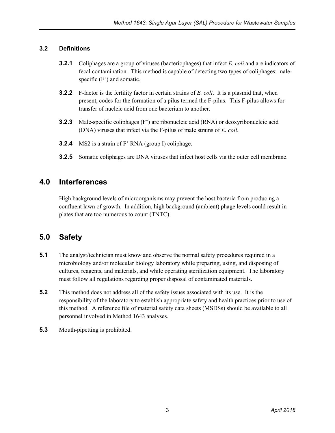### **3.2 Definitions**

- **3.2.1** Coliphages are a group of viruses (bacteriophages) that infect *E. coli* and are indicators of fecal contamination. This method is capable of detecting two types of coliphages: malespecific  $(F^+)$  and somatic.
- **3.2.2** F-factor is the fertility factor in certain strains of *E. coli*. It is a plasmid that, when present, codes for the formation of a pilus termed the F-pilus. This F-pilus allows for transfer of nucleic acid from one bacterium to another.
- **3.2.3** Male-specific coliphages (F<sup>+</sup>) are ribonucleic acid (RNA) or deoxyribonucleic acid (DNA) viruses that infect via the F-pilus of male strains of *E. coli*.
- **3.2.4** MS2 is a strain of  $F^+$  RNA (group I) coliphage.
- **3.2.5** Somatic coliphages are DNA viruses that infect host cells via the outer cell membrane.

### <span id="page-7-0"></span>**4.0 Interferences**

High background levels of microorganisms may prevent the host bacteria from producing a confluent lawn of growth. In addition, high background (ambient) phage levels could result in plates that are too numerous to count (TNTC).

# <span id="page-7-1"></span>**5.0 Safety**

- **5.1** The analyst/technician must know and observe the normal safety procedures required in a microbiology and/or molecular biology laboratory while preparing, using, and disposing of cultures, reagents, and materials, and while operating sterilization equipment. The laboratory must follow all regulations regarding proper disposal of contaminated materials.
- **5.2** This method does not address all of the safety issues associated with its use. It is the responsibility of the laboratory to establish appropriate safety and health practices prior to use of this method. A reference file of material safety data sheets (MSDSs) should be available to all personnel involved in Method 1643 analyses.
- **5.3** Mouth-pipetting is prohibited.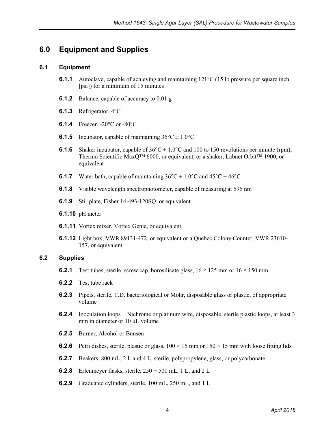# <span id="page-8-0"></span>**6.0 Equipment and Supplies**

### **6.1 Equipment**

- **6.1.1** Autoclave, capable of achieving and maintaining 121<sup>o</sup>C (15 lb pressure per square inch [psi]) for a minimum of 15 minutes
- **6.1.2** Balance, capable of accuracy to 0.01 g
- **6.1.3** Refrigerator, 4°C
- **6.1.4** Freezer, -20°C or -80°C
- **6.1.5** Incubator, capable of maintaining  $36^{\circ}\text{C} \pm 1.0^{\circ}\text{C}$
- **6.1.6** Shaker incubator, capable of  $36^{\circ}\text{C} \pm 1.0^{\circ}\text{C}$  and 100 to 150 revolutions per minute (rpm), Thermo Scientific MaxQ™ 6000, or equivalent, or a shaker, Labnet Orbit™ 1900, or equivalent
- **6.1.7** Water bath, capable of maintaining  $36^{\circ}\text{C} \pm 1.0^{\circ}\text{C}$  and  $45^{\circ}\text{C} 46^{\circ}\text{C}$
- **6.1.8** Visible wavelength spectrophotometer, capable of measuring at 595 nm
- **6.1.9** Stir plate, Fisher 14-493-120SQ, or equivalent
- **6.1.10** pH meter
- **6.1.11** Vortex mixer, Vortex Genie, or equivalent
- **6.1.12** Light box, VWR 89131-472, or equivalent or a Ouebec Colony Counter, VWR 23610-157, or equivalent

### **6.2 Supplies**

- **6.2.1** Test tubes, sterile, screw cap, borosilicate glass,  $16 \times 125$  mm or  $16 \times 150$  mm
- **6.2.2** Test tube rack
- **6.2.3** Pipets, sterile, T.D. bacteriological or Mohr, disposable glass or plastic, of appropriate volume
- **6.2.4** Inoculation loops − Nichrome or platinum wire, disposable, sterile plastic loops, at least 3 mm in diameter or 10 μL volume
- **6.2.5** Burner, Alcohol or Bunsen
- **6.2.6** Petri dishes, sterile, plastic or glass,  $100 \times 15$  mm or  $150 \times 15$  mm with loose fitting lids
- **6.2.7** Beakers, 800 mL, 2 L and 4 L, sterile, polypropylene, glass, or polycarbonate
- **6.2.8** Erlenmeyer flasks, sterile, 250 − 500 mL, 1 L, and 2 L
- **6.2.9** Graduated cylinders, sterile, 100 mL, 250 mL, and 1 L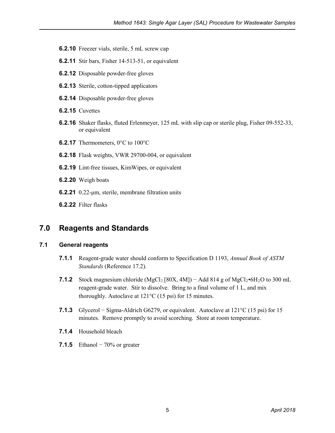- **6.2.10** Freezer vials, sterile, 5 mL screw cap
- **6.2.11** Stir bars, Fisher 14-513-51, or equivalent
- **6.2.12** Disposable powder-free gloves
- **6.2.13** Sterile, cotton-tipped applicators
- **6.2.14** Disposable powder-free gloves
- **6.2.15** Cuvettes
- **6.2.16** Shaker flasks, fluted Erlenmeyer, 125 mL with slip cap or sterile plug, Fisher 09-552-33, or equivalent
- **6.2.17** Thermometers, 0°C to 100°C
- **6.2.18** Flask weights, VWR 29700-004, or equivalent
- **6.2.19** Lint-free tissues, KimWipes, or equivalent
- **6.2.20** Weigh boats
- **6.2.21** 0.22-μm, sterile, membrane filtration units
- **6.2.22** Filter flasks

### <span id="page-9-0"></span>**7.0 Reagents and Standards**

### **7.1 General reagents**

- **7.1.1** Reagent-grade water should conform to Specification D 1193, *Annual Book of ASTM Standards* (Reference 17.2).
- **7.1.2** Stock magnesium chloride (MgCl<sub>2</sub> [80X, 4M]) Add 814 g of MgCl<sub>2</sub>•6H<sub>2</sub>O to 300 mL reagent-grade water. Stir to dissolve. Bring to a final volume of 1 L, and mix thoroughly. Autoclave at 121°C (15 psi) for 15 minutes.
- **7.1.3** Glycerol − Sigma-Aldrich G6279, or equivalent. Autoclave at 121<sup>°</sup>C (15 psi) for 15 minutes. Remove promptly to avoid scorching. Store at room temperature.
- **7.1.4** Household bleach
- **7.1.5** Ethanol − 70% or greater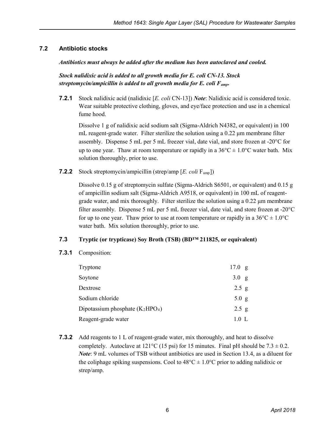### **7.2 Antibiotic stocks**

*Antibiotics must always be added after the medium has been autoclaved and cooled.*

*Stock nalidixic acid is added to all growth media for E. coli CN-13. Stock streptomycin/ampicillin is added to all growth media for E. coli Famp.*

**7.2.1** Stock nalidixic acid (nalidixic [*E. coli* CN-13]) *Note*: Nalidixic acid is considered toxic. Wear suitable protective clothing, gloves, and eye/face protection and use in a chemical fume hood.

Dissolve 1 g of nalidixic acid sodium salt (Sigma-Aldrich N4382, or equivalent) in 100 mL reagent-grade water. Filter sterilize the solution using a  $0.22 \mu m$  membrane filter assembly. Dispense 5 mL per 5 mL freezer vial, date vial, and store frozen at -20°C for up to one year. Thaw at room temperature or rapidly in a  $36^{\circ}C \pm 1.0^{\circ}C$  water bath. Mix solution thoroughly, prior to use.

**7.2.2** Stock streptomycin/ampicillin (strep/amp [*E. coli* Famp])

Dissolve 0.15 g of streptomycin sulfate (Sigma-Aldrich S6501, or equivalent) and 0.15 g of ampicillin sodium salt (Sigma-Aldrich A9518, or equivalent) in 100 mL of reagentgrade water, and mix thoroughly. Filter sterilize the solution using a 0.22 μm membrane filter assembly. Dispense 5 mL per 5 mL freezer vial, date vial, and store frozen at -20°C for up to one year. Thaw prior to use at room temperature or rapidly in a  $36^{\circ}C \pm 1.0^{\circ}C$ water bath. Mix solution thoroughly, prior to use.

### **7.3 Tryptic (or trypticase) Soy Broth (TSB) (BD™ 211825, or equivalent)**

**7.3.1** Composition:

| Tryptone                           | 17.0 $g$         |  |
|------------------------------------|------------------|--|
| Soytone                            | 3.0 g            |  |
| Dextrose                           | 2.5 g            |  |
| Sodium chloride                    | 5.0 g            |  |
| Dipotassium phosphate $(K_2HPO_4)$ | $2.5$ g          |  |
| Reagent-grade water                | $1.0 \mathrm{L}$ |  |

**7.3.2** Add reagents to 1 L of reagent-grade water, mix thoroughly, and heat to dissolve completely. Autoclave at  $121^{\circ}$ C (15 psi) for 15 minutes. Final pH should be  $7.3 \pm 0.2$ . *Note*: 9 mL volumes of TSB without antibiotics are used in Section 13.4, as a diluent for the coliphage spiking suspensions. Cool to  $48^{\circ}$ C  $\pm$  1.0°C prior to adding nalidixic or strep/amp.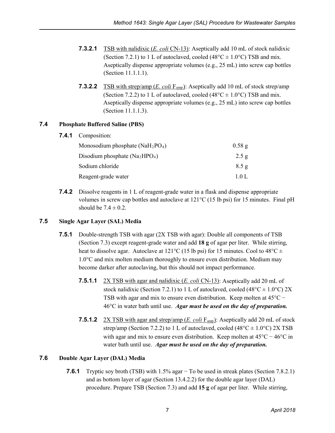- **7.3.2.1** TSB with nalidixic (*E. coli* CN-13): Aseptically add 10 mL of stock nalidixic (Section 7.2.1) to 1 L of autoclaved, cooled (48 $^{\circ}$ C  $\pm$  1.0 $^{\circ}$ C) TSB and mix. Aseptically dispense appropriate volumes (e.g., 25 mL) into screw cap bottles (Section 11.1.1.1).
- **7.3.2.2** TSB with strep/amp (*E. coli* F<sub>amp</sub>): Aseptically add 10 mL of stock strep/amp (Section 7.2.2) to 1 L of autoclaved, cooled (48 $^{\circ}$ C  $\pm$  1.0 $^{\circ}$ C) TSB and mix. Aseptically dispense appropriate volumes (e.g., 25 mL) into screw cap bottles (Section 11.1.1.3).

### **7.4 Phosphate Buffered Saline (PBS)**

**7.4.1** Composition:

| Monosodium phosphate $(NaH_2PO_4)$ | $0.58$ g |
|------------------------------------|----------|
| Disodium phosphate $(Na_2HPO_4)$   | 2.5g     |
| Sodium chloride                    | 8.5 g    |
| Reagent-grade water                | 10 L     |

**7.4.2** Dissolve reagents in 1 L of reagent-grade water in a flask and dispense appropriate volumes in screw cap bottles and autoclave at  $121^{\circ}$ C (15 lb psi) for 15 minutes. Final pH should be  $7.4 \pm 0.2$ .

### **7.5 Single Agar Layer (SAL) Media**

- **7.5.1** Double-strength TSB with agar (2X TSB with agar): Double all components of TSB (Section 7.3) except reagent-grade water and add **18 g** of agar per liter. While stirring, heat to dissolve agar. Autoclave at 121<sup>o</sup>C (15 lb psi) for 15 minutes. Cool to 48<sup>o</sup>C  $\pm$ 1.0°C and mix molten medium thoroughly to ensure even distribution. Medium may become darker after autoclaving, but this should not impact performance.
	- **7.5.1.1** 2X TSB with agar and nalidixic (*E. coli* CN-13): Aseptically add 20 mL of stock nalidixic (Section 7.2.1) to 1 L of autoclaved, cooled (48°C  $\pm$  1.0°C) 2X TSB with agar and mix to ensure even distribution. Keep molten at 45°C − 46°C in water bath until use. *Agar must be used on the day of preparation.*
	- **7.5.1.2** 2X TSB with agar and strep/amp (*E. coli*  $F_{\text{amp}}$ ): Aseptically add 20 mL of stock strep/amp (Section 7.2.2) to 1 L of autoclaved, cooled (48 $^{\circ}$ C  $\pm$  1.0 $^{\circ}$ C) 2X TSB with agar and mix to ensure even distribution. Keep molten at 45°C − 46°C in water bath until use. *Agar must be used on the day of preparation.*

### **7.6 Double Agar Layer (DAL) Media**

**7.6.1** Tryptic soy broth (TSB) with 1.5% agar − To be used in streak plates (Section 7.8.2.1) and as bottom layer of agar (Section 13.4.2.2) for the double agar layer (DAL) procedure. Prepare TSB (Section 7.3) and add **15 g** of agar per liter. While stirring,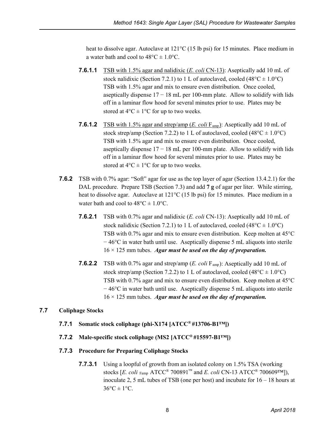heat to dissolve agar. Autoclave at 121°C (15 lb psi) for 15 minutes. Place medium in a water bath and cool to  $48^{\circ}$ C  $\pm$  1.0°C.

- **7.6.1.1** TSB with 1.5% agar and nalidixic (*E. coli* CN-13): Aseptically add 10 mL of stock nalidixic (Section 7.2.1) to 1 L of autoclaved, cooled (48 $^{\circ}$ C  $\pm$  1.0 $^{\circ}$ C) TSB with 1.5% agar and mix to ensure even distribution. Once cooled, aseptically dispense  $17 - 18$  mL per 100-mm plate. Allow to solidify with lids off in a laminar flow hood for several minutes prior to use. Plates may be stored at  $4^{\circ}C \pm 1^{\circ}C$  for up to two weeks.
- **7.6.1.2** TSB with 1.5% agar and strep/amp (*E. coli* F<sub>amp</sub>): Aseptically add 10 mL of stock strep/amp (Section 7.2.2) to 1 L of autoclaved, cooled  $(48^{\circ}C \pm 1.0^{\circ}C)$ TSB with 1.5% agar and mix to ensure even distribution. Once cooled, aseptically dispense  $17 - 18$  mL per 100-mm plate. Allow to solidify with lids off in a laminar flow hood for several minutes prior to use. Plates may be stored at  $4^{\circ}C \pm 1^{\circ}C$  for up to two weeks.
- **7.6.2** TSB with 0.7% agar: "Soft" agar for use as the top layer of agar (Section 13.4.2.1) for the DAL procedure. Prepare TSB (Section 7.3) and add **7 g** of agar per liter. While stirring, heat to dissolve agar. Autoclave at  $121^{\circ}C(15 \text{ lb psi})$  for 15 minutes. Place medium in a water bath and cool to  $48^{\circ}C \pm 1.0^{\circ}C$ .
	- **7.6.2.1** TSB with 0.7% agar and nalidixic (*E. coli* CN-13): Aseptically add 10 mL of stock nalidixic (Section 7.2.1) to 1 L of autoclaved, cooled (48 $^{\circ}$ C  $\pm$  1.0 $^{\circ}$ C) TSB with 0.7% agar and mix to ensure even distribution. Keep molten at 45°C − 46°C in water bath until use. Aseptically dispense 5 mL aliquots into sterile 16 × 125 mm tubes. *Agar must be used on the day of preparation.*
	- **7.6.2.2** TSB with 0.7% agar and strep/amp (*E. coli* F<sub>amp</sub>): Aseptically add 10 mL of stock strep/amp (Section 7.2.2) to 1 L of autoclaved, cooled (48 $^{\circ}$ C  $\pm$  1.0 $^{\circ}$ C) TSB with 0.7% agar and mix to ensure even distribution. Keep molten at 45°C − 46°C in water bath until use. Aseptically dispense 5 mL aliquots into sterile 16 × 125 mm tubes. *Agar must be used on the day of preparation.*

### **7.7 Coliphage Stocks**

- **7.7.1 Somatic stock coliphage (phi-X174 [ATCC® #13706-B1™])**
- **7.7.2 Male-specific stock coliphage (MS2 [ATCC® #15597-B1™])**
- **7.7.3 Procedure for Preparing Coliphage Stocks**
	- **7.7.3.1** Using a loopful of growth from an isolated colony on 1.5% TSA (working stocks [*E. coli* Famp ATCC® 700891™ and *E. coli* CN-13 ATCC® 700609™]), inoculate 2, 5 mL tubes of TSB (one per host) and incubate for 16 – 18 hours at  $36^{\circ}C \pm 1^{\circ}C$ .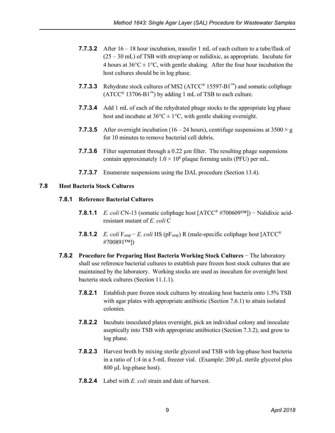- **7.7.3.2** After 16 18 hour incubation, transfer 1 mL of each culture to a tube/flask of (25 – 30 mL) of TSB with strep/amp or nalidixic, as appropriate. Incubate for 4 hours at  $36^{\circ}\text{C} \pm 1^{\circ}\text{C}$ , with gentle shaking. After the four hour incubation the host cultures should be in log phase.
- **7.7.3.3** Rehydrate stock cultures of MS2 (ATCC® 15597-B1™) and somatic coliphage  $(ATCC^{\circledR} 13706-B1<sup>TM</sup>)$  by adding 1 mL of TSB to each culture.
- **7.7.3.4** Add 1 mL of each of the rehydrated phage stocks to the appropriate log phase host and incubate at  $36^{\circ}C \pm 1^{\circ}C$ , with gentle shaking overnight.
- **7.7.3.5** After overnight incubation (16 24 hours), centrifuge suspensions at 3500  $\times$  g for 10 minutes to remove bacterial cell debris.
- **7.7.3.6** Filter supernatant through a 0.22  $\mu$ m filter. The resulting phage suspensions contain approximately  $1.0 \times 10^8$  plaque forming units (PFU) per mL.
- **7.7.3.7** Enumerate suspensions using the DAL procedure (Section 13.4).

### **7.8 Host Bacteria Stock Cultures**

### **7.8.1 Reference Bacterial Cultures**

- **7.8.1.1** *E. coli* CN-13 (somatic coliphage host [ATCC® #700609™]) − Nalidixic acidresistant mutant of *E. coli* C
- **7.8.1.2** *E. coli* F<sub>amp</sub> − *E. coli* HS (pF<sub>amp</sub>) R (male-specific coliphage host  $[ATCC^{\circledast}]$ #700891™])
- **7.8.2 Procedure for Preparing Host Bacteria Working Stock Cultures The laboratory** shall use reference bacterial cultures to establish pure frozen host stock cultures that are maintained by the laboratory. Working stocks are used as inoculum for overnight host bacteria stock cultures (Section 11.1.1).
	- **7.8.2.1** Establish pure frozen stock cultures by streaking host bacteria onto 1.5% TSB with agar plates with appropriate antibiotic (Section 7.6.1) to attain isolated colonies.
	- **7.8.2.2** Incubate inoculated plates overnight, pick an individual colony and inoculate aseptically into TSB with appropriate antibiotics (Section 7.3.2), and grow to log phase.
	- **7.8.2.3** Harvest broth by mixing sterile glycerol and TSB with log-phase host bacteria in a ratio of 1:4 in a 5-mL freezer vial. (Example: 200 μL sterile glycerol plus 800 μL log-phase host).
	- **7.8.2.4** Label with *E. coli* strain and date of harvest.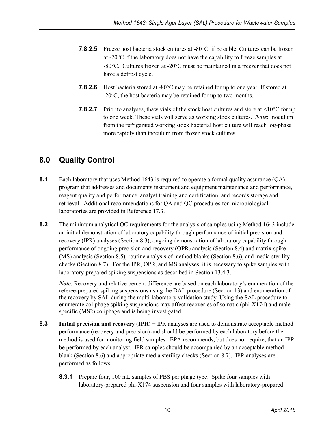- **7.8.2.5** Freeze host bacteria stock cultures at -80°C, if possible. Cultures can be frozen at -20°C if the laboratory does not have the capability to freeze samples at -80°C. Cultures frozen at -20°C must be maintained in a freezer that does not have a defrost cycle.
- **7.8.2.6** Host bacteria stored at -80°C may be retained for up to one year. If stored at -20°C, the host bacteria may be retained for up to two months.
- **7.8.2.7** Prior to analyses, thaw vials of the stock host cultures and store at  $\leq 10^{\circ}$ C for up to one week. These vials will serve as working stock cultures. *Note*: Inoculum from the refrigerated working stock bacterial host culture will reach log-phase more rapidly than inoculum from frozen stock cultures.

# <span id="page-14-0"></span>**8.0 Quality Control**

- **8.1** Each laboratory that uses Method 1643 is required to operate a formal quality assurance (OA) program that addresses and documents instrument and equipment maintenance and performance, reagent quality and performance, analyst training and certification, and records storage and retrieval. Additional recommendations for QA and QC procedures for microbiological laboratories are provided in Reference 17.3.
- **8.2** The minimum analytical QC requirements for the analysis of samples using Method 1643 include an initial demonstration of laboratory capability through performance of initial precision and recovery (IPR) analyses (Section 8.3), ongoing demonstration of laboratory capability through performance of ongoing precision and recovery (OPR) analysis (Section 8.4) and matrix spike (MS) analysis (Section 8.5), routine analysis of method blanks (Section 8.6), and media sterility checks (Section 8.7). For the IPR, OPR, and MS analyses, it is necessary to spike samples with laboratory-prepared spiking suspensions as described in Section 13.4.3.

*Note*: Recovery and relative percent difference are based on each laboratory's enumeration of the referee-prepared spiking suspensions using the DAL procedure (Section 13) and enumeration of the recovery by SAL during the multi-laboratory validation study. Using the SAL procedure to enumerate coliphage spiking suspensions may affect recoveries of somatic (phi-X174) and malespecific (MS2) coliphage and is being investigated.

- **8.3 Initial precision and recovery (IPR)** − IPR analyses are used to demonstrate acceptable method performance (recovery and precision) and should be performed by each laboratory before the method is used for monitoring field samples. EPA recommends, but does not require, that an IPR be performed by each analyst. IPR samples should be accompanied by an acceptable method blank (Section 8.6) and appropriate media sterility checks (Section 8.7). IPR analyses are performed as follows:
	- **8.3.1** Prepare four, 100 mL samples of PBS per phage type. Spike four samples with laboratory-prepared phi-X174 suspension and four samples with laboratory-prepared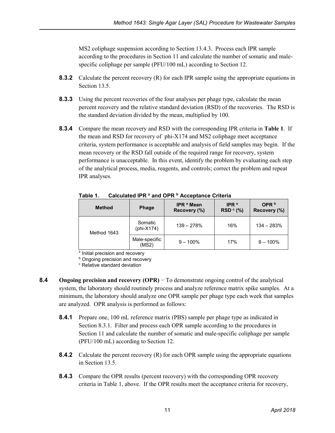MS2 coliphage suspension according to Section 13.4.3. Process each IPR sample according to the procedures in Section 11 and calculate the number of somatic and malespecific coliphage per sample (PFU/100 mL) according to Section 12.

- **8.3.2** Calculate the percent recovery (R) for each IPR sample using the appropriate equations in Section 13.5.
- **8.3.3** Using the percent recoveries of the four analyses per phage type, calculate the mean percent recovery and the relative standard deviation (RSD) of the recoveries. The RSD is the standard deviation divided by the mean, multiplied by 100.
- **8.3.4** Compare the mean recovery and RSD with the corresponding IPR criteria in **Table 1**. If the mean and RSD for recovery of phi-X174 and MS2 coliphage meet acceptance criteria, system performance is acceptable and analysis of field samples may begin. If the mean recovery or the RSD fall outside of the required range for recovery, system performance is unacceptable. In this event, identify the problem by evaluating each step of the analytical process, media, reagents, and controls; correct the problem and repeat IPR analyses.

| <b>Method</b> | <b>Phage</b>           | IPR $a$ Mean<br>Recovery (%) | IPR <sup>a</sup><br>RSD <sup>c</sup> (%) | OPR <sup>b</sup><br>Recovery (%) |
|---------------|------------------------|------------------------------|------------------------------------------|----------------------------------|
| Method 1643   | Somatic<br>(phi-X174)  | $139 - 278%$                 | 16%                                      | $134 - 283%$                     |
|               | Male-specific<br>(MS2) | $9 - 100\%$                  | 17%                                      | $9 - 100\%$                      |

**Table 1. Calculated IPR <sup>a</sup> and OPR <sup>b</sup> Acceptance Criteria**

<sup>a</sup> Initial precision and recovery

**b** Ongoing precision and recovery

<sup>c</sup> Relative standard deviation

- **8.4 Ongoing precision and recovery (OPR)** − To demonstrate ongoing control of the analytical system, the laboratory should routinely process and analyze reference matrix spike samples. At a minimum, the laboratory should analyze one OPR sample per phage type each week that samples are analyzed. OPR analysis is performed as follows:
	- **8.4.1** Prepare one, 100 mL reference matrix (PBS) sample per phage type as indicated in Section 8.3.1. Filter and process each OPR sample according to the procedures in Section 11 and calculate the number of somatic and male-specific coliphage per sample (PFU/100 mL) according to Section 12.
	- **8.4.2** Calculate the percent recovery (R) for each OPR sample using the appropriate equations in Section 13.5.
	- **8.4.3** Compare the OPR results (percent recovery) with the corresponding OPR recovery criteria in Table 1, above. If the OPR results meet the acceptance criteria for recovery,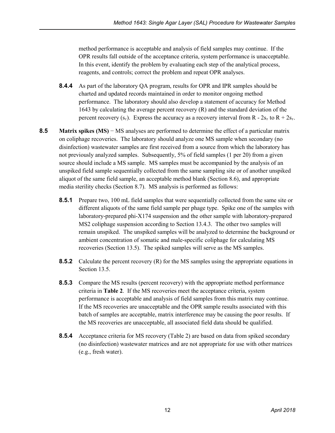method performance is acceptable and analysis of field samples may continue. If the OPR results fall outside of the acceptance criteria, system performance is unacceptable. In this event, identify the problem by evaluating each step of the analytical process, reagents, and controls; correct the problem and repeat OPR analyses.

- **8.4.4** As part of the laboratory QA program, results for OPR and IPR samples should be charted and updated records maintained in order to monitor ongoing method performance. The laboratory should also develop a statement of accuracy for Method 1643 by calculating the average percent recovery (R) and the standard deviation of the percent recovery ( $s_r$ ). Express the accuracy as a recovery interval from R -  $2s_r$  to R +  $2s_r$ .
- **8.5 Matrix spikes (MS)** − MS analyses are performed to determine the effect of a particular matrix on coliphage recoveries. The laboratory should analyze one MS sample when secondary (no disinfection) wastewater samples are first received from a source from which the laboratory has not previously analyzed samples. Subsequently, 5% of field samples (1 per 20) from a given source should include a MS sample. MS samples must be accompanied by the analysis of an unspiked field sample sequentially collected from the same sampling site or of another unspiked aliquot of the same field sample, an acceptable method blank (Section 8.6), and appropriate media sterility checks (Section 8.7). MS analysis is performed as follows:
	- **8.5.1** Prepare two, 100 mL field samples that were sequentially collected from the same site or different aliquots of the same field sample per phage type. Spike one of the samples with laboratory-prepared phi-X174 suspension and the other sample with laboratory-prepared MS2 coliphage suspension according to Section 13.4.3. The other two samples will remain unspiked. The unspiked samples will be analyzed to determine the background or ambient concentration of somatic and male-specific coliphage for calculating MS recoveries (Section 13.5). The spiked samples will serve as the MS samples.
	- **8.5.2** Calculate the percent recovery (R) for the MS samples using the appropriate equations in Section 13.5.
	- **8.5.3** Compare the MS results (percent recovery) with the appropriate method performance criteria in **Table 2**. If the MS recoveries meet the acceptance criteria, system performance is acceptable and analysis of field samples from this matrix may continue. If the MS recoveries are unacceptable and the OPR sample results associated with this batch of samples are acceptable, matrix interference may be causing the poor results. If the MS recoveries are unacceptable, all associated field data should be qualified.
	- **8.5.4** Acceptance criteria for MS recovery (Table 2) are based on data from spiked secondary (no disinfection) wastewater matrices and are not appropriate for use with other matrices (e.g., fresh water).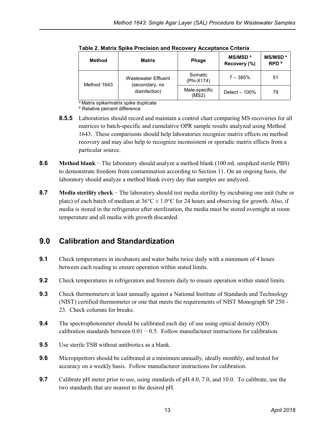| <b>Method</b> | <b>Matrix</b>                                                 | <b>Phage</b>           | MS/MSD <sup>a</sup><br>Recovery (%) | MS/MSD <sup>a</sup><br>RPD <sup>b</sup> |
|---------------|---------------------------------------------------------------|------------------------|-------------------------------------|-----------------------------------------|
| Method 1643   | <b>Wastewater Effluent</b><br>(secondary, no<br>disinfection) | Somatic<br>(Phi-X174)  | $7 - 385\%$                         | 51                                      |
|               |                                                               | Male-specific<br>(MS2) | Detect $-100\%$                     | 79                                      |

**Table 2. Matrix Spike Precision and Recovery Acceptance Criteria**

a Matrix spike/matrix spike duplicate

**b** Relative percent difference

- **8.5.5** Laboratories should record and maintain a control chart comparing MS recoveries for all matrices to batch-specific and cumulative OPR sample results analyzed using Method 1643. These comparisons should help laboratories recognize matrix effects on method recovery and may also help to recognize inconsistent or sporadic matrix effects from a particular source.
- **8.6 Method blank** − The laboratory should analyze a method blank (100 mL unspiked sterile PBS) to demonstrate freedom from contamination according to Section 11. On an ongoing basis, the laboratory should analyze a method blank every day that samples are analyzed.
- **8.7 Media sterility check** − The laboratory should test media sterility by incubating one unit (tube or plate) of each batch of medium at  $36^{\circ}\text{C} \pm 1.0^{\circ}\text{C}$  for 24 hours and observing for growth. Also, if media is stored in the refrigerator after sterilization, the media must be stored overnight at room temperature and all media with growth discarded.

# <span id="page-17-0"></span>**9.0 Calibration and Standardization**

- **9.1** Check temperatures in incubators and water baths twice daily with a minimum of 4 hours between each reading to ensure operation within stated limits.
- **9.2** Check temperatures in refrigerators and freezers daily to ensure operation within stated limits.
- **9.3** Check thermometers at least annually against a National Institute of Standards and Technology (NIST) certified thermometer or one that meets the requirements of NIST Monograph SP 250 - 23. Check columns for breaks.
- **9.4** The spectrophotometer should be calibrated each day of use using optical density (OD) calibration standards between  $0.01 - 0.5$ . Follow manufacturer instructions for calibration.
- **9.5** Use sterile TSB without antibiotics as a blank.
- **9.6** Micropipettors should be calibrated at a minimum annually, ideally monthly, and tested for accuracy on a weekly basis. Follow manufacturer instructions for calibration.
- **9.7** Calibrate pH meter prior to use, using standards of pH 4.0, 7.0, and 10.0. To calibrate, use the two standards that are nearest to the desired pH.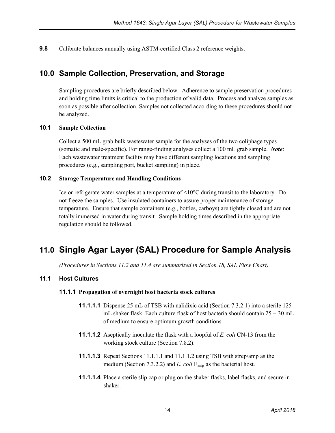**9.8** Calibrate balances annually using ASTM-certified Class 2 reference weights.

### <span id="page-18-0"></span>**10.0 Sample Collection, Preservation, and Storage**

Sampling procedures are briefly described below. Adherence to sample preservation procedures and holding time limits is critical to the production of valid data. Process and analyze samples as soon as possible after collection. Samples not collected according to these procedures should not be analyzed.

### **10.1 Sample Collection**

Collect a 500 mL grab bulk wastewater sample for the analyses of the two coliphage types (somatic and male-specific). For range-finding analyses collect a 100 mL grab sample. *Note*: Each wastewater treatment facility may have different sampling locations and sampling procedures (e.g., sampling port, bucket sampling) in place.

### **10.2 Storage Temperature and Handling Conditions**

Ice or refrigerate water samples at a temperature of <10°C during transit to the laboratory. Do not freeze the samples. Use insulated containers to assure proper maintenance of storage temperature. Ensure that sample containers (e.g., bottles, carboys) are tightly closed and are not totally immersed in water during transit. Sample holding times described in the appropriate regulation should be followed.

# <span id="page-18-1"></span>**11.0 Single Agar Layer (SAL) Procedure for Sample Analysis**

*(Procedures in Sections 11.2 and 11.4 are summarized in Section 18, SAL Flow Chart)*

### **11.1 Host Cultures**

#### **11.1.1 Propagation of overnight host bacteria stock cultures**

- **11.1.1.1** Dispense 25 mL of TSB with nalidixic acid (Section 7.3.2.1) into a sterile 125 mL shaker flask. Each culture flask of host bacteria should contain 25 − 30 mL of medium to ensure optimum growth conditions.
- **11.1.1.2** Aseptically inoculate the flask with a loopful of *E. coli* CN-13 from the working stock culture (Section 7.8.2).
- **11.1.1.3** Repeat Sections 11.1.1.1 and 11.1.1.2 using TSB with strep/amp as the medium (Section 7.3.2.2) and *E. coli*  $F_{\text{amp}}$  as the bacterial host.
- **11.1.1.4** Place a sterile slip cap or plug on the shaker flasks, label flasks, and secure in shaker.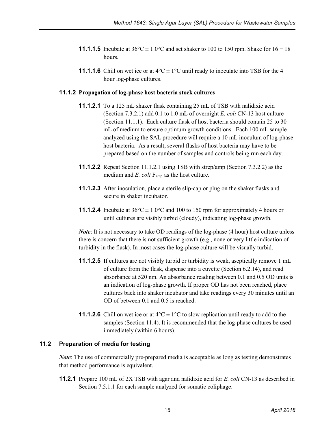- **11.1.1.5** Incubate at  $36^{\circ}\text{C} \pm 1.0^{\circ}\text{C}$  and set shaker to 100 to 150 rpm. Shake for  $16 18$ hours.
- **11.1.1.6** Chill on wet ice or at  $4^{\circ}C \pm 1^{\circ}C$  until ready to inoculate into TSB for the 4 hour log-phase cultures.

#### **11.1.2 Propagation of log-phase host bacteria stock cultures**

- **11.1.2.1** To a 125 mL shaker flask containing 25 mL of TSB with nalidixic acid (Section 7.3.2.1) add 0.1 to 1.0 mL of overnight *E. coli* CN-13 host culture (Section 11.1.1). Each culture flask of host bacteria should contain 25 to 30 mL of medium to ensure optimum growth conditions. Each 100 mL sample analyzed using the SAL procedure will require a 10 mL inoculum of log-phase host bacteria. As a result, several flasks of host bacteria may have to be prepared based on the number of samples and controls being run each day.
- **11.1.2.2** Repeat Section 11.1.2.1 using TSB with strep/amp (Section 7.3.2.2) as the medium and *E. coli* F<sub>amp</sub> as the host culture.
- **11.1.2.3** After inoculation, place a sterile slip-cap or plug on the shaker flasks and secure in shaker incubator.
- **11.1.2.4** Incubate at  $36^{\circ}\text{C} \pm 1.0^{\circ}\text{C}$  and 100 to 150 rpm for approximately 4 hours or until cultures are visibly turbid (cloudy), indicating log-phase growth.

*Note*: It is not necessary to take OD readings of the log-phase (4 hour) host culture unless there is concern that there is not sufficient growth (e.g., none or very little indication of turbidity in the flask). In most cases the log-phase culture will be visually turbid.

- **11.1.2.5** If cultures are not visibly turbid or turbidity is weak, aseptically remove 1 mL of culture from the flask, dispense into a cuvette (Section 6.2.14), and read absorbance at 520 nm. An absorbance reading between 0.1 and 0.5 OD units is an indication of log-phase growth. If proper OD has not been reached, place cultures back into shaker incubator and take readings every 30 minutes until an OD of between 0.1 and 0.5 is reached.
- **11.1.2.6** Chill on wet ice or at  $4^{\circ}C \pm 1^{\circ}C$  to slow replication until ready to add to the samples (Section 11.4). It is recommended that the log-phase cultures be used immediately (within 6 hours).

### **11.2 Preparation of media for testing**

*Note*: The use of commercially pre-prepared media is acceptable as long as testing demonstrates that method performance is equivalent.

**11.2.1** Prepare 100 mL of 2X TSB with agar and nalidixic acid for *E. coli* CN-13 as described in Section 7.5.1.1 for each sample analyzed for somatic coliphage.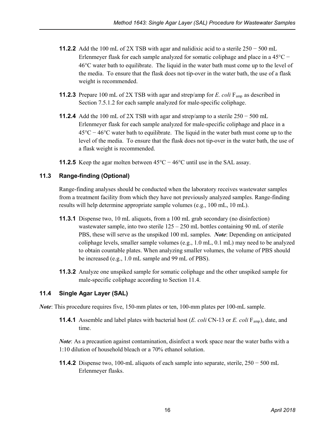- **11.2.2** Add the 100 mL of 2X TSB with agar and nalidixic acid to a sterile  $250 500$  mL Erlenmeyer flask for each sample analyzed for somatic coliphage and place in a 45°C − 46°C water bath to equilibrate. The liquid in the water bath must come up to the level of the media. To ensure that the flask does not tip-over in the water bath, the use of a flask weight is recommended.
- **11.2.3** Prepare 100 mL of 2X TSB with agar and strep/amp for *E. coli* F<sub>amp</sub> as described in Section 7.5.1.2 for each sample analyzed for male-specific coliphage.
- **11.2.4** Add the 100 mL of 2X TSB with agar and strep/amp to a sterile  $250 500$  mL Erlenmeyer flask for each sample analyzed for male-specific coliphage and place in a 45°C − 46°C water bath to equilibrate. The liquid in the water bath must come up to the level of the media. To ensure that the flask does not tip-over in the water bath, the use of a flask weight is recommended.

**11.2.5** Keep the agar molten between 45°C − 46°C until use in the SAL assay.

### **11.3 Range-finding (Optional)**

Range-finding analyses should be conducted when the laboratory receives wastewater samples from a treatment facility from which they have not previously analyzed samples. Range-finding results will help determine appropriate sample volumes (e.g., 100 mL, 10 mL).

- **11.3.1** Dispense two, 10 mL aliquots, from a 100 mL grab secondary (no disinfection) wastewater sample, into two sterile  $125 - 250$  mL bottles containing 90 mL of sterile PBS, these will serve as the unspiked 100 mL samples. *Note*: Depending on anticipated coliphage levels, smaller sample volumes (e.g., 1.0 mL, 0.1 mL) may need to be analyzed to obtain countable plates. When analyzing smaller volumes, the volume of PBS should be increased (e.g., 1.0 mL sample and 99 mL of PBS).
- **11.3.2** Analyze one unspiked sample for somatic coliphage and the other unspiked sample for male-specific coliphage according to Section 11.4.

### **11.4 Single Agar Layer (SAL)**

*Note*: This procedure requires five, 150-mm plates or ten, 100-mm plates per 100-mL sample.

**11.4.1** Assemble and label plates with bacterial host (*E. coli* CN-13 or *E. coli* F<sub>amp</sub>), date, and time.

*Note*: As a precaution against contamination, disinfect a work space near the water baths with a 1:10 dilution of household bleach or a 70% ethanol solution.

**11.4.2** Dispense two, 100-mL aliquots of each sample into separate, sterile, 250 − 500 mL Erlenmeyer flasks.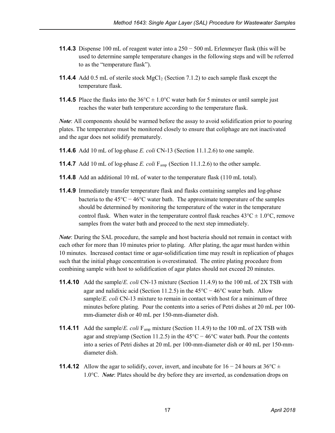- **11.4.3** Dispense 100 mL of reagent water into a 250 − 500 mL Erlenmeyer flask (this will be used to determine sample temperature changes in the following steps and will be referred to as the "temperature flask").
- **11.4.4** Add 0.5 mL of sterile stock  $MgCl_2$  (Section 7.1.2) to each sample flask except the temperature flask.
- **11.4.5** Place the flasks into the  $36^{\circ}\text{C} \pm 1.0^{\circ}\text{C}$  water bath for 5 minutes or until sample just reaches the water bath temperature according to the temperature flask.

*Note*: All components should be warmed before the assay to avoid solidification prior to pouring plates. The temperature must be monitored closely to ensure that coliphage are not inactivated and the agar does not solidify prematurely.

- **11.4.6** Add 10 mL of log-phase *E. coli* CN-13 (Section 11.1.2.6) to one sample.
- **11.4.7** Add 10 mL of log-phase *E. coli* F<sub>amp</sub> (Section 11.1.2.6) to the other sample.
- **11.4.8** Add an additional 10 mL of water to the temperature flask (110 mL total).
- **11.4.9** Immediately transfer temperature flask and flasks containing samples and log-phase bacteria to the 45°C − 46°C water bath. The approximate temperature of the samples should be determined by monitoring the temperature of the water in the temperature control flask. When water in the temperature control flask reaches  $43^{\circ}C \pm 1.0^{\circ}C$ , remove samples from the water bath and proceed to the next step immediately.

*Note*: During the SAL procedure, the sample and host bacteria should not remain in contact with each other for more than 10 minutes prior to plating. After plating, the agar must harden within 10 minutes. Increased contact time or agar-solidification time may result in replication of phages such that the initial phage concentration is overestimated. The entire plating procedure from combining sample with host to solidification of agar plates should not exceed 20 minutes.

- **11.4.10** Add the sample/*E. coli* CN-13 mixture (Section 11.4.9) to the 100 mL of 2X TSB with agar and nalidixic acid (Section 11.2.5) in the 45°C − 46°C water bath. Allow sample/*E. coli* CN-13 mixture to remain in contact with host for a minimum of three minutes before plating. Pour the contents into a series of Petri dishes at 20 mL per 100 mm-diameter dish or 40 mL per 150-mm-diameter dish.
- **11.4.11** Add the sample/*E. coli* F<sub>amp</sub> mixture (Section 11.4.9) to the 100 mL of 2X TSB with agar and strep/amp (Section 11.2.5) in the 45°C − 46°C water bath. Pour the contents into a series of Petri dishes at 20 mL per 100-mm-diameter dish or 40 mL per 150-mmdiameter dish.
- **11.4.12** Allow the agar to solidify, cover, invert, and incubate for  $16 24$  hours at  $36^{\circ}\text{C} \pm$ 1.0°C. *Note*: Plates should be dry before they are inverted, as condensation drops on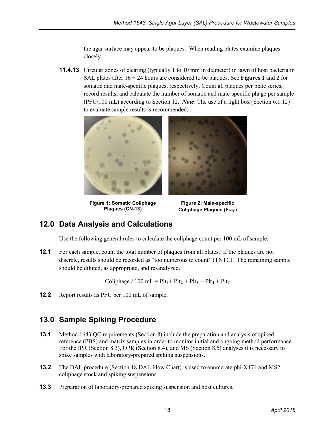the agar surface may appear to be plaques. When reading plates examine plaques closely.

**11.4.13** Circular zones of clearing (typically 1 to 10 mm in diameter) in lawn of host bacteria in SAL plates after 16 − 24 hours are considered to be plaques. See **Figures 1** and **2** for somatic and male-specific plaques, respectively. Count all plaques per plate series, record results, and calculate the number of somatic and male-specific phage per sample (PFU/100 mL) according to Section 12. *Note*: The use of a light box (Section 6.1.12) to evaluate sample results is recommended.



**Figure 1: Somatic Coliphage Plaques (CN-13)**

**Figure 2: Male-specific Coliphage Plaques (Famp)**

# <span id="page-22-0"></span>**12.0 Data Analysis and Calculations**

Use the following general rules to calculate the coliphage count per 100 mL of sample:

**12.1** For each sample, count the total number of plaques from all plates. If the plaques are not discrete, results should be recorded as "too numerous to count" (TNTC). The remaining sample should be diluted, as appropriate, and re-analyzed.

Coliphage / 100 mL =  $Plt_1 + Plt_2 + Plt_3 + Plt_4 + Plt_5$ 

**12.2** Report results as PFU per 100 mL of sample.

# <span id="page-22-1"></span>**13.0 Sample Spiking Procedure**

- **13.1** Method 1643 QC requirements (Section 8) include the preparation and analysis of spiked reference (PBS) and matrix samples in order to monitor initial and ongoing method performance. For the IPR (Section 8.3), OPR (Section 8.4), and MS (Section 8.5) analyses it is necessary to spike samples with laboratory-prepared spiking suspensions.
- **13.2** The DAL procedure (Section 18 DAL Flow Chart) is used to enumerate phi-X174 and MS2 coliphage stock and spiking suspensions.
- **13.3** Preparation of laboratory-prepared spiking suspension and host cultures.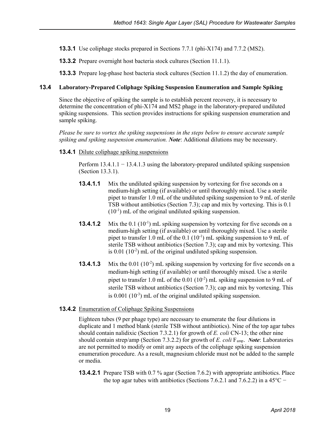**13.3.1** Use coliphage stocks prepared in Sections 7.7.1 (phi-X174) and 7.7.2 (MS2).

**13.3.2** Prepare overnight host bacteria stock cultures (Section 11.1.1).

**13.3.3** Prepare log-phase host bacteria stock cultures (Section 11.1.2) the day of enumeration.

### **13.4 Laboratory-Prepared Coliphage Spiking Suspension Enumeration and Sample Spiking**

Since the objective of spiking the sample is to establish percent recovery, it is necessary to determine the concentration of phi-X174 and MS2 phage in the laboratory-prepared undiluted spiking suspensions. This section provides instructions for spiking suspension enumeration and sample spiking.

*Please be sure to vortex the spiking suspensions in the steps below to ensure accurate sample spiking and spiking suspension enumeration. Note*: Additional dilutions may be necessary.

### **13.4.1** Dilute coliphage spiking suspensions

Perform 13.4.1.1 − 13.4.1.3 using the laboratory-prepared undiluted spiking suspension (Section 13.3.1).

- **13.4.1.1** Mix the undiluted spiking suspension by vortexing for five seconds on a medium-high setting (if available) or until thoroughly mixed. Use a sterile pipet to transfer 1.0 mL of the undiluted spiking suspension to 9 mL of sterile TSB without antibiotics (Section 7.3); cap and mix by vortexing. This is 0.1  $(10<sup>-1</sup>)$  mL of the original undiluted spiking suspension.
- **13.4.1.2** Mix the 0.1 (10<sup>-1</sup>) mL spiking suspension by vortexing for five seconds on a medium-high setting (if available) or until thoroughly mixed. Use a sterile pipet to transfer 1.0 mL of the  $0.1$  ( $10^{-1}$ ) mL spiking suspension to 9 mL of sterile TSB without antibiotics (Section 7.3); cap and mix by vortexing. This is  $0.01$  ( $10<sup>-2</sup>$ ) mL of the original undiluted spiking suspension.
- **13.4.1.3** Mix the  $0.01$  ( $10^{-2}$ ) mL spiking suspension by vortexing for five seconds on a medium-high setting (if available) or until thoroughly mixed. Use a sterile pipet to transfer 1.0 mL of the  $0.01$  ( $10^{-2}$ ) mL spiking suspension to 9 mL of sterile TSB without antibiotics (Section 7.3); cap and mix by vortexing. This is  $0.001$  ( $10<sup>3</sup>$ ) mL of the original undiluted spiking suspension.

### **13.4.2** Enumeration of Coliphage Spiking Suspensions

Eighteen tubes (9 per phage type) are necessary to enumerate the four dilutions in duplicate and 1 method blank (sterile TSB without antibiotics). Nine of the top agar tubes should contain nalidixic (Section 7.3.2.1) for growth of *E. coli* CN-13; the other nine should contain strep/amp (Section 7.3.2.2) for growth of *E. coli* F<sub>amp</sub>. *Note*: Laboratories are not permitted to modify or omit any aspects of the coliphage spiking suspension enumeration procedure. As a result, magnesium chloride must not be added to the sample or media.

**13.4.2.1** Prepare TSB with 0.7 % agar (Section 7.6.2) with appropriate antibiotics. Place the top agar tubes with antibiotics (Sections 7.6.2.1 and 7.6.2.2) in a 45°C −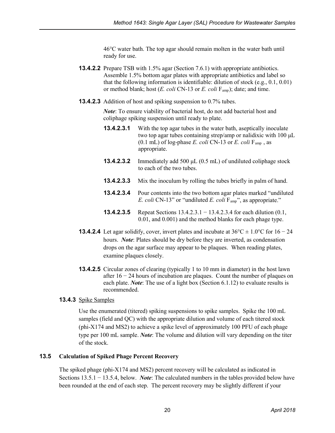46°C water bath. The top agar should remain molten in the water bath until ready for use.

- **13.4.2.2** Prepare TSB with 1.5% agar (Section 7.6.1) with appropriate antibiotics. Assemble 1.5% bottom agar plates with appropriate antibiotics and label so that the following information is identifiable: dilution of stock (e.g., 0.1, 0.01) or method blank; host (*E. coli* CN-13 or *E. coli* Famp); date; and time.
- **13.4.2.3** Addition of host and spiking suspension to 0.7% tubes.

*Note*: To ensure viability of bacterial host, do not add bacterial host and coliphage spiking suspension until ready to plate.

- **13.4.2.3.1** With the top agar tubes in the water bath, aseptically inoculate two top agar tubes containing strep/amp or nalidixic with 100 μL  $(0.1 \text{ mL})$  of log-phase *E. coli* CN-13 or *E. coli*  $F_{\text{amp}}$ , as appropriate.
- **13.4.2.3.2** Immediately add 500 μL (0.5 mL) of undiluted coliphage stock to each of the two tubes.
- **13.4.2.3.3** Mix the inoculum by rolling the tubes briefly in palm of hand.
- **13.4.2.3.4** Pour contents into the two bottom agar plates marked "undiluted" *E. coli* CN-13" or "undiluted *E. coli* F<sub>amp</sub>", as appropriate."
- **13.4.2.3.5** Repeat Sections 13.4.2.3.1 − 13.4.2.3.4 for each dilution (0.1, 0.01, and 0.001) and the method blanks for each phage type.
- **13.4.2.4** Let agar solidify, cover, invert plates and incubate at  $36^{\circ}\text{C} \pm 1.0^{\circ}\text{C}$  for  $16 24$ hours. *Note*: Plates should be dry before they are inverted, as condensation drops on the agar surface may appear to be plaques. When reading plates, examine plaques closely.
- **13.4.2.5** Circular zones of clearing (typically 1 to 10 mm in diameter) in the host lawn after 16 − 24 hours of incubation are plaques. Count the number of plaques on each plate. *Note*: The use of a light box (Section 6.1.12) to evaluate results is recommended.

### **13.4.3** Spike Samples

Use the enumerated (titered) spiking suspensions to spike samples. Spike the 100 mL samples (field and QC) with the appropriate dilution and volume of each titered stock (phi-X174 and MS2) to achieve a spike level of approximately 100 PFU of each phage type per 100 mL sample. *Note*: The volume and dilution will vary depending on the titer of the stock.

### **13.5 Calculation of Spiked Phage Percent Recovery**

The spiked phage (phi-X174 and MS2) percent recovery will be calculated as indicated in Sections 13.5.1 − 13.5.4, below. *Note*: The calculated numbers in the tables provided below have been rounded at the end of each step. The percent recovery may be slightly different if your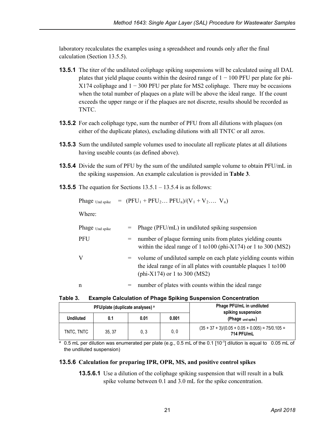laboratory recalculates the examples using a spreadsheet and rounds only after the final calculation (Section 13.5.5).

- **13.5.1** The titer of the undiluted coliphage spiking suspensions will be calculated using all DAL plates that yield plaque counts within the desired range of  $1 - 100$  PFU per plate for phi- $X174$  coliphage and  $1 - 300$  PFU per plate for MS2 coliphage. There may be occasions when the total number of plaques on a plate will be above the ideal range. If the count exceeds the upper range or if the plaques are not discrete, results should be recorded as TNTC.
- **13.5.2** For each coliphage type, sum the number of PFU from all dilutions with plaques (on either of the duplicate plates), excluding dilutions with all TNTC or all zeros.
- **13.5.3** Sum the undiluted sample volumes used to inoculate all replicate plates at all dilutions having useable counts (as defined above).
- **13.5.4** Divide the sum of PFU by the sum of the undiluted sample volume to obtain PFU/mL in the spiking suspension. An example calculation is provided in **Table 3**.
- **13.5.5** The equation for Sections 13.5.1 13.5.4 is as follows:

$$
\text{Phase } \text{Und spike} = (\text{PFU}_1 + \text{PFU}_2 \dots \text{PFU}_n) / (\text{V}_1 + \text{V}_2 \dots \text{V}_n)
$$

Where:

| Phage Und spike |         | $=$ Phage (PFU/mL) in undiluted spiking suspension                                                                                                                      |
|-----------------|---------|-------------------------------------------------------------------------------------------------------------------------------------------------------------------------|
| PFU             | $=$     | number of plaque forming units from plates yielding counts<br>within the ideal range of 1 to 100 (phi- $X174$ ) or 1 to 300 (MS2)                                       |
| V               | $=$ $-$ | volume of undiluted sample on each plate yielding counts within<br>the ideal range of in all plates with countable plaques 1 to 100<br>(phi- $X174$ ) or 1 to 300 (MS2) |
| n               |         | number of plates with counts within the ideal range                                                                                                                     |

**Table 3. Example Calculation of Phage Spiking Suspension Concentration**

|                  | PFU/plate (duplicate analyses) a |      | Phage PFU/mL in undiluted<br>spiking suspension |                                                                  |  |
|------------------|----------------------------------|------|-------------------------------------------------|------------------------------------------------------------------|--|
| <b>Undiluted</b> | 0.1                              | 0.01 | 0.001                                           | (Phage und spike)                                                |  |
| TNTC, TNTC       | 35.37                            | 0.3  | 0, 0                                            | $(35 + 37 + 3)/(0.05 + 0.05 + 0.005) = 75/0.105 =$<br>714 PFU/mL |  |

 $a = 0.5$  mL per dilution was enumerated per plate (e.g., 0.5 mL of the 0.1 [10<sup>-1</sup>] dilution is equal to 0.05 mL of the undiluted suspension)

#### **13.5.6 Calculation for preparing IPR, OPR, MS, and positive control spikes**

**13.5.6.1** Use a dilution of the coliphage spiking suspension that will result in a bulk spike volume between 0.1 and 3.0 mL for the spike concentration.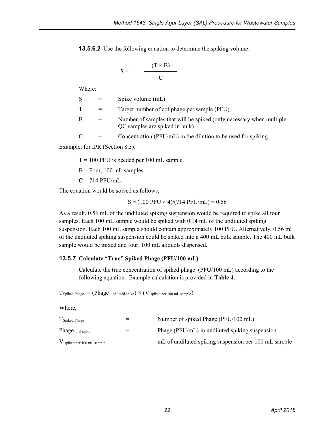**13.5.6.2** Use the following equation to determine the spiking volume:

$$
S = \frac{(T \times B)}{C}
$$

Where:

| S | $=$ | Spike volume (mL)                                                                                     |
|---|-----|-------------------------------------------------------------------------------------------------------|
| T |     | Target number of coliphage per sample (PFU)                                                           |
| B | $=$ | Number of samples that will be spiked (only necessary when multiple<br>QC samples are spiked in bulk) |
|   |     | Concentration ( $PFU/mL$ ) in the dilution to be used for spiking                                     |

Example, for IPR (Section 8.3):

 $T = 100$  PFU is needed per 100 mL sample

 $B = Four, 100$  mL samples

 $C = 714$  PFU/mL

The equation would be solved as follows:

 $S = (100$  PFU  $\times$  4)/(714 PFU/mL) = 0.56

As a result, 0.56 mL of the undiluted spiking suspension would be required to spike all four samples. Each 100 mL sample would be spiked with 0.14 mL of the undiluted spiking suspension. Each 100 mL sample should contain approximately 100 PFU. Alternatively, 0.56 mL of the undiluted spiking suspension could be spiked into a 400 mL bulk sample. The 400 mL bulk sample would be mixed and four, 100 mL aliquots dispensed.

### **13.5.7 Calculate "True" Spiked Phage (PFU/100 mL)**

Calculate the true concentration of spiked phage (PFU/100 mL) according to the following equation. Example calculation is provided in **Table 4**.

 $T_{\text{Spiked Phase}} = (\text{Phase undiluted spike}) \times (V_{\text{spiked per 100 mL sample}})$ 

Where,

| T Spiked Phage                 | Number of spiked Phage (PFU/100 mL)                  |
|--------------------------------|------------------------------------------------------|
| Phage und spike                | Phage (PFU/mL) in undiluted spiking suspension       |
| $V_{spiked per 100 mL sample}$ | mL of undiluted spiking suspension per 100 mL sample |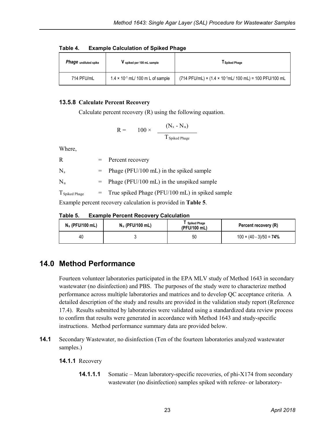| <b>Phage</b> undiluted spike | V spiked per 100 mL sample                 | Spiked Phage                                           |  |
|------------------------------|--------------------------------------------|--------------------------------------------------------|--|
| 714 PFU/mL                   | $1.4 \times 10^{-1}$ mL/ 100 m L of sample | (714 PFU/mL) × (1.4 × 10-1mL/ 100 mL) = 100 PFU/100 mL |  |

#### **Table 4. Example Calculation of Spiked Phage**

### **13.5.8 Calculate Percent Recovery**

Calculate percent recovery (R) using the following equation.

$$
R = 100 \times \frac{(N_s - N_u)}{T_{\text{Spiked Phase}}}
$$

Where,

| R              | $=$ Percent recovery                                |
|----------------|-----------------------------------------------------|
| $N_{s}$        | $=$ Phage (PFU/100 mL) in the spiked sample         |
| $N_{\rm u}$    | $=$ Phage (PFU/100 mL) in the unspiked sample       |
| T Spiked Phage | $=$ True spiked Phage (PFU/100 mL) in spiked sample |

Example percent recovery calculation is provided in **Table 5**.

**Table 5. Example Percent Recovery Calculation**

| $N_s$ (PFU/100 mL) | $N_u$ (PFU/100 mL) | <b>Spiked Phage</b><br>(PFU/100 mL) | Percent recovery (R)            |
|--------------------|--------------------|-------------------------------------|---------------------------------|
| 40                 |                    | 50                                  | $100 \times (40 - 3)/50 = 74\%$ |

# <span id="page-27-0"></span>**14.0 Method Performance**

Fourteen volunteer laboratories participated in the EPA MLV study of Method 1643 in secondary wastewater (no disinfection) and PBS. The purposes of the study were to characterize method performance across multiple laboratories and matrices and to develop QC acceptance criteria. A detailed description of the study and results are provided in the validation study report (Reference 17.4). Results submitted by laboratories were validated using a standardized data review process to confirm that results were generated in accordance with Method 1643 and study-specific instructions. Method performance summary data are provided below.

**14.1** Secondary Wastewater, no disinfection (Ten of the fourteen laboratories analyzed wastewater samples.)

**14.1.1** Recovery

**14.1.1.1** Somatic – Mean laboratory-specific recoveries, of phi-X174 from secondary wastewater (no disinfection) samples spiked with referee- or laboratory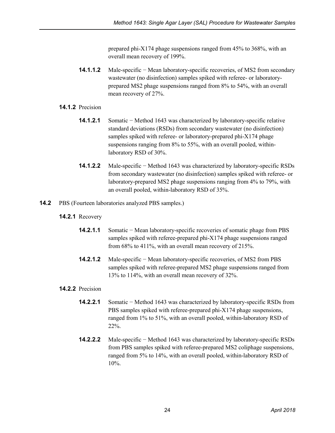prepared phi-X174 phage suspensions ranged from 45% to 368%, with an overall mean recovery of 199%.

**14.1.1.2** Male-specific − Mean laboratory-specific recoveries, of MS2 from secondary wastewater (no disinfection) samples spiked with referee- or laboratoryprepared MS2 phage suspensions ranged from 8% to 54%, with an overall mean recovery of 27%.

### **14.1.2** Precision

- **14.1.2.1** Somatic − Method 1643 was characterized by laboratory-specific relative standard deviations (RSDs) from secondary wastewater (no disinfection) samples spiked with referee- or laboratory-prepared phi-X174 phage suspensions ranging from 8% to 55%, with an overall pooled, withinlaboratory RSD of 30%.
- **14.1.2.2** Male-specific − Method 1643 was characterized by laboratory-specific RSDs from secondary wastewater (no disinfection) samples spiked with referee- or laboratory-prepared MS2 phage suspensions ranging from 4% to 79%, with an overall pooled, within-laboratory RSD of 35%.
- **14.2** PBS (Fourteen laboratories analyzed PBS samples.)

### **14.2.1** Recovery

- **14.2.1.1** Somatic − Mean laboratory-specific recoveries of somatic phage from PBS samples spiked with referee-prepared phi-X174 phage suspensions ranged from 68% to 411%, with an overall mean recovery of 215%.
- **14.2.1.2** Male-specific − Mean laboratory-specific recoveries, of MS2 from PBS samples spiked with referee-prepared MS2 phage suspensions ranged from 13% to 114%, with an overall mean recovery of 32%.

### **14.2.2** Precision

- **14.2.2.1** Somatic − Method 1643 was characterized by laboratory-specific RSDs from PBS samples spiked with referee-prepared phi-X174 phage suspensions, ranged from 1% to 51%, with an overall pooled, within-laboratory RSD of 22%.
- **14.2.2.2** Male-specific − Method 1643 was characterized by laboratory-specific RSDs from PBS samples spiked with referee-prepared MS2 coliphage suspensions, ranged from 5% to 14%, with an overall pooled, within-laboratory RSD of 10%.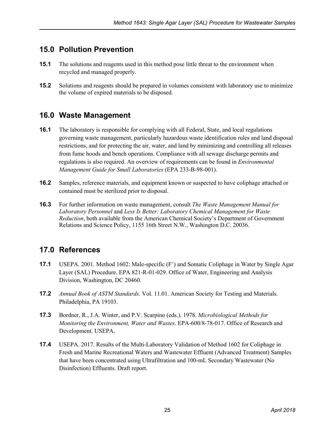### <span id="page-29-0"></span>**15.0 Pollution Prevention**

- **15.1** The solutions and reagents used in this method pose little threat to the environment when recycled and managed properly.
- **15.2** Solutions and reagents should be prepared in volumes consistent with laboratory use to minimize the volume of expired materials to be disposed.

### <span id="page-29-1"></span>**16.0 Waste Management**

- **16.1** The laboratory is responsible for complying with all Federal, State, and local regulations governing waste management, particularly hazardous waste identification rules and land disposal restrictions, and for protecting the air, water, and land by minimizing and controlling all releases from fume hoods and bench operations. Compliance with all sewage discharge permits and regulations is also required. An overview of requirements can be found in *Environmental Management Guide for Small Laboratories* (EPA 233-B-98-001).
- **16.2** Samples, reference materials, and equipment known or suspected to have coliphage attached or contained must be sterilized prior to disposal.
- **16.3** For further information on waste management, consult *The Waste Management Manual for Laboratory Personnel* and *Less Is Better: Laboratory Chemical Management for Waste Reduction*, both available from the American Chemical Society's Department of Government Relations and Science Policy, 1155 16th Street N.W., Washington D.C. 20036.

# <span id="page-29-2"></span>**17.0 References**

- **17.1** USEPA. 2001. Method 1602: Male-specific (F<sup>+</sup>) and Somatic Coliphage in Water by Single Agar Layer (SAL) Procedure. EPA 821-R-01-029. Office of Water, Engineering and Analysis Division, Washington, DC 20460.
- **17.2** *Annual Book of ASTM Standards.* Vol. 11.01. American Society for Testing and Materials. Philadelphia, PA 19103.
- **17.3** Bordner, R., J.A. Winter, and P.V. Scarpino (eds.). 1978. *Microbiological Methods for Monitoring the Environment, Water and Wastes*. EPA-600/8-78-017. Office of Research and Development. USEPA.
- **17.4** USEPA. 2017. Results of the Multi-Laboratory Validation of Method 1602 for Coliphage in Fresh and Marine Recreational Waters and Wastewater Effluent (Advanced Treatment) Samples that have been concentrated using Ultrafiltration and 100-mL Secondary Wastewater (No Disinfection) Effluents. Draft report.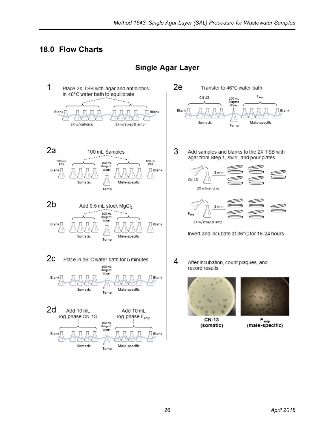# <span id="page-30-0"></span>**18.0 Flow Charts**



### **Single Agar Layer**

Blank